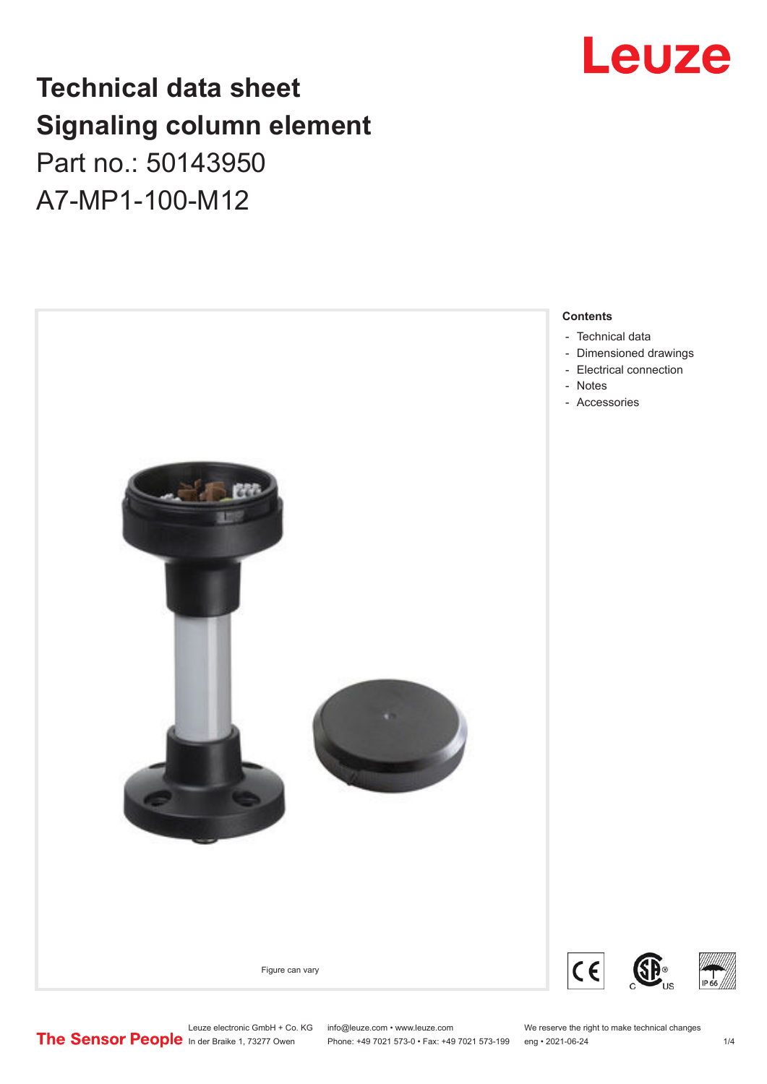# **Technical data sheet Signaling column element**

Part no.: 50143950 A7-MP1-100-M12



# Leuze

Leuze electronic GmbH + Co. KG info@leuze.com • www.leuze.com We reserve the right to make technical changes<br> **The Sensor People** in der Braike 1, 73277 Owen Phone: +49 7021 573-0 • Fax: +49 7021 573-199 eng • 2021-06-24

Phone: +49 7021 573-0 • Fax: +49 7021 573-199 eng • 2021-06-24 1 2021-06-24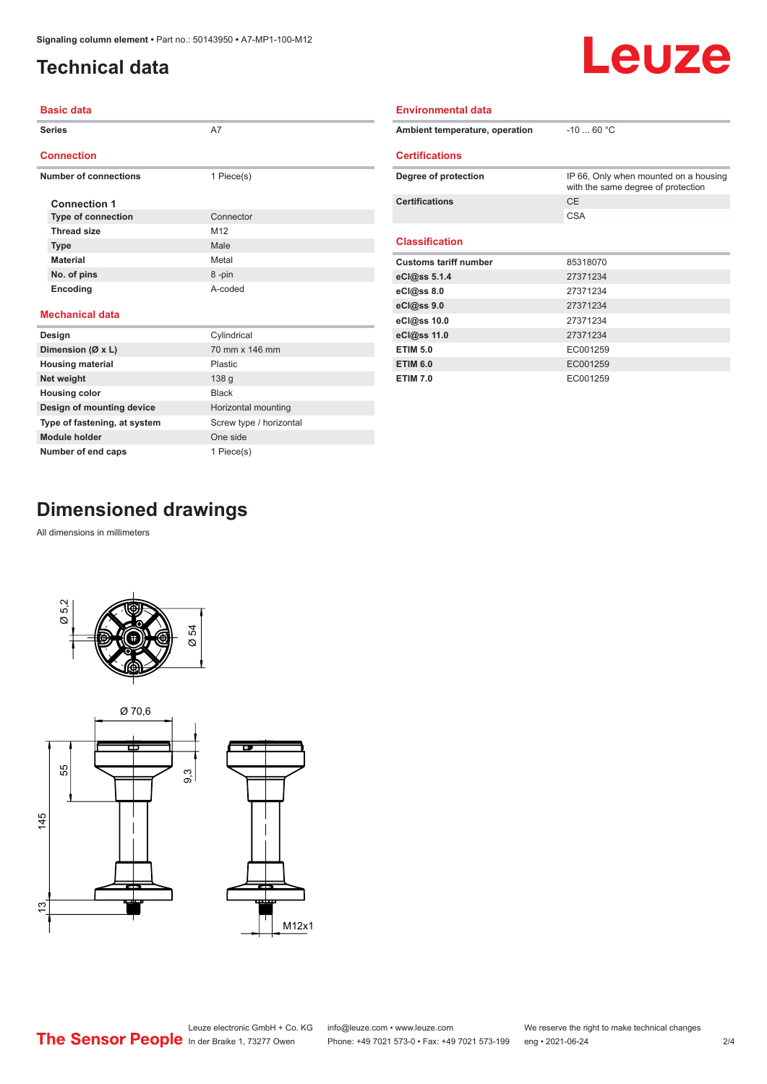### <span id="page-1-0"></span>**Technical data**

# Leuze

| Basic data |  |
|------------|--|

| <b>Series</b> |                              | A7              | Ambient tem           |
|---------------|------------------------------|-----------------|-----------------------|
|               | <b>Connection</b>            |                 | <b>Certification</b>  |
|               | <b>Number of connections</b> | 1 Piece(s)      | Degree of pro         |
|               | <b>Connection 1</b>          |                 | <b>Certifications</b> |
|               | <b>Type of connection</b>    | Connector       |                       |
|               | <b>Thread size</b>           | M <sub>12</sub> |                       |
|               | <b>Type</b>                  | Male            | <b>Classification</b> |
|               | <b>Material</b>              | Metal           | <b>Customs tarif</b>  |
|               | No. of pins                  | 8-pin           | eCl@ss 5.1.4          |
|               | <b>Encoding</b>              | A-coded         | eCl@ss 8.0            |
|               |                              |                 | eCl@ss 9.0            |
|               | <b>Mechanical data</b>       |                 | eCl@ss 10.0           |
|               | Design                       | Cylindrical     | eCl@ss 11.0           |
|               | Dimension (Ø x L)            | 70 mm x 146 mm  | <b>ETIM 5.0</b>       |

| Ambient temperature, operation | $-1060 °C$                                                                  |
|--------------------------------|-----------------------------------------------------------------------------|
| <b>Certifications</b>          |                                                                             |
| Degree of protection           | IP 66, Only when mounted on a housing<br>with the same degree of protection |
| <b>Certifications</b>          | <b>CE</b>                                                                   |
|                                | <b>CSA</b>                                                                  |
| <b>Classification</b>          |                                                                             |
| <b>Customs tariff number</b>   | 85318070                                                                    |
| eCl@ss 5.1.4                   | 27371234                                                                    |
| eCl@ss 8.0                     | 27371234                                                                    |
| eCl@ss 9.0                     | 27371234                                                                    |
| eCl@ss 10.0                    | 27371234                                                                    |
| eCl@ss 11.0                    | 27371234                                                                    |
| <b>ETIM 5.0</b>                | EC001259                                                                    |
| <b>ETIM 6.0</b>                | EC001259                                                                    |
| <b>ETIM 7.0</b>                | EC001259                                                                    |

**Environmental data**

# **Dimensioned drawings**

**Module holder** One side **Number of end caps** 1 Piece(s)

**Housing material** Plastic **Net weight** 138 g **Housing color Black** 

**Design of mounting device** Horizontal mounting **Type of fastening, at system** Screw type / horizontal

All dimensions in millimeters





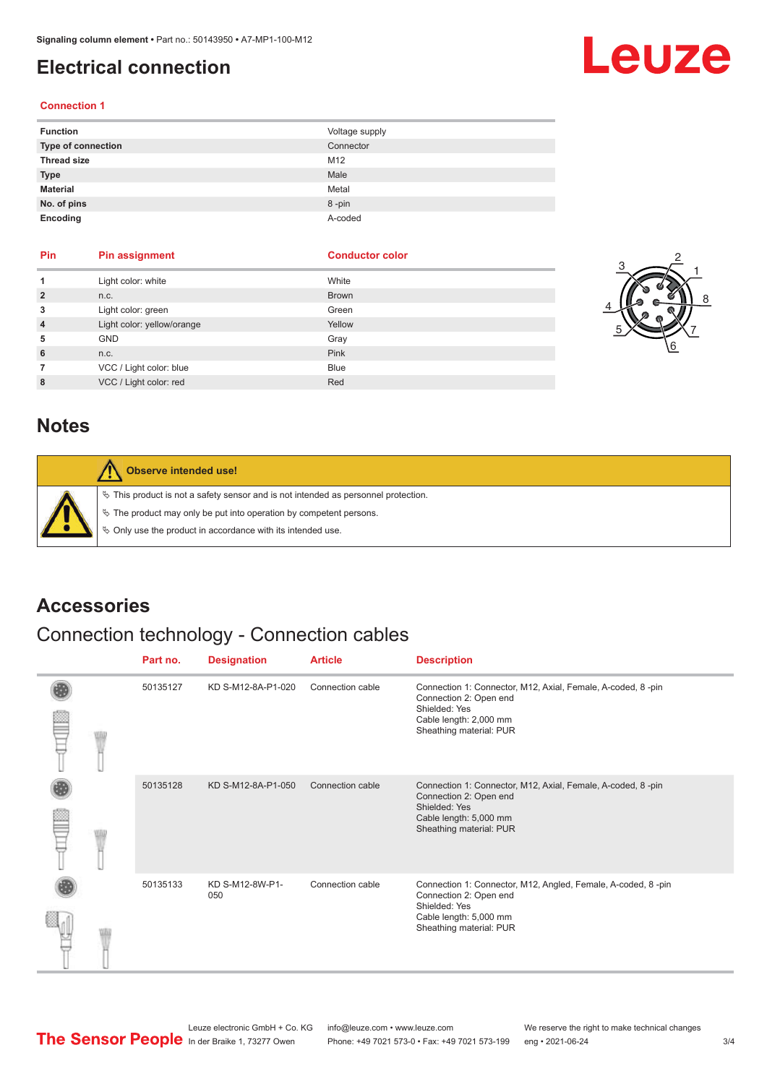### <span id="page-2-0"></span>**Electrical connection**

# Leuze

#### **Connection 1**

| <b>Function</b>    | Voltage supply |
|--------------------|----------------|
| Type of connection | Connector      |
| <b>Thread size</b> | M12            |
| <b>Type</b>        | Male           |
| <b>Material</b>    | Metal          |
| No. of pins        | 8-pin          |
| Encoding           | A-coded        |

| Pin            | Pin assignment             | <b>Conductor color</b> |
|----------------|----------------------------|------------------------|
| 1              | Light color: white         | White                  |
| $\overline{2}$ | n.c.                       | <b>Brown</b>           |
| 3              | Light color: green         | Green                  |
| $\overline{4}$ | Light color: yellow/orange | Yellow                 |
| 5              | <b>GND</b>                 | Gray                   |
| 6              | n.c.                       | Pink                   |
| 7              | VCC / Light color: blue    | <b>Blue</b>            |
| 8              | VCC / Light color: red     | Red                    |



#### **Notes**

| Observe intended use!                                                                                                                                                                                                            |
|----------------------------------------------------------------------------------------------------------------------------------------------------------------------------------------------------------------------------------|
| $\%$ This product is not a safety sensor and is not intended as personnel protection.<br>$\%$ The product may only be put into operation by competent persons.<br>$\&$ Only use the product in accordance with its intended use. |

#### **Accessories**

### Connection technology - Connection cables

|  | Part no. | <b>Designation</b>     | <b>Article</b>   | <b>Description</b>                                                                                                                                           |
|--|----------|------------------------|------------------|--------------------------------------------------------------------------------------------------------------------------------------------------------------|
|  | 50135127 | KD S-M12-8A-P1-020     | Connection cable | Connection 1: Connector, M12, Axial, Female, A-coded, 8-pin<br>Connection 2: Open end<br>Shielded: Yes<br>Cable length: 2,000 mm<br>Sheathing material: PUR  |
|  | 50135128 | KD S-M12-8A-P1-050     | Connection cable | Connection 1: Connector, M12, Axial, Female, A-coded, 8-pin<br>Connection 2: Open end<br>Shielded: Yes<br>Cable length: 5,000 mm<br>Sheathing material: PUR  |
|  | 50135133 | KD S-M12-8W-P1-<br>050 | Connection cable | Connection 1: Connector, M12, Angled, Female, A-coded, 8-pin<br>Connection 2: Open end<br>Shielded: Yes<br>Cable length: 5,000 mm<br>Sheathing material: PUR |